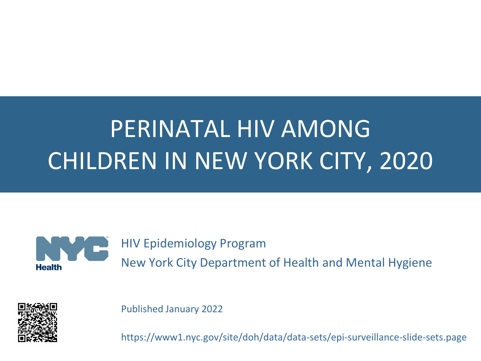# PERINATAL HIV AMONG CHILDREN IN NEW YORK CITY, 2020



## HIV Epidemiology Program

New York City Department of Health and Mental Hygiene



Published January 2022

https://www1.nyc.gov/site/doh/data/data-sets/epi-surveillance-slide-sets.page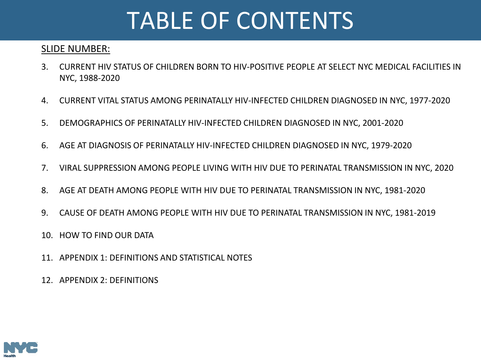# TABLE OF CONTENTS

#### SLIDE NUMBER:

- 3. [CURRENT HIV STATUS OF CHILDREN BORN TO HIV-POSITIVE PEOPLE AT SELECT NYC MEDICAL FACILITIES IN](#page-2-0)  NYC, 1988-2020
- 4. [CURRENT VITAL STATUS AMONG PERINATALLY HIV-INFECTED CHILDREN DIAGNOSED IN NYC, 1977-2020](#page-3-0)
- 5. [DEMOGRAPHICS OF PERINATALLY HIV-INFECTED CHILDREN DIAGNOSED IN NYC, 2001-2020](#page-4-0)
- 6. [AGE AT DIAGNOSIS OF PERINATALLY HIV-INFECTED CHILDREN DIAGNOSED IN NYC, 1979-2020](#page-5-0)
- 7. [VIRAL SUPPRESSION AMONG PEOPLE LIVING WITH HIV DUE TO PERINATAL TRANSMISSION IN NYC, 2020](#page-6-0)
- 8. [AGE AT DEATH AMONG PEOPLE WITH HIV DUE TO PERINATAL TRANSMISSION IN NYC, 1981-2020](#page-7-0)
- 9. [CAUSE OF DEATH AMONG PEOPLE WITH HIV DUE TO PERINATAL TRANSMISSION IN NYC, 1981-2019](#page-8-0)
- 10. [HOW TO FIND OUR DATA](#page-9-0)
- 11. [APPENDIX 1: DEFINITIONS AND STATISTICAL NOTES](#page-10-0)
- 12. [APPENDIX 2: DEFINITIONS](#page-11-0)

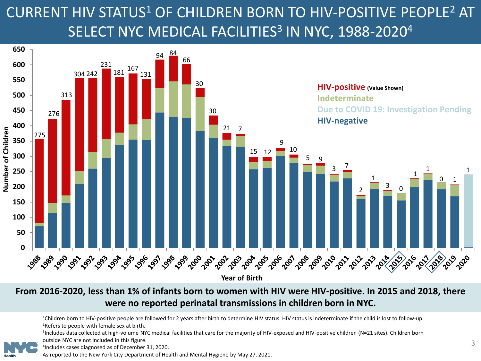### <span id="page-2-0"></span>CURRENT HIV STATUS1 OF CHILDREN BORN TO HIV-POSITIVE PEOPLE2 AT SELECT NYC MEDICAL FACILITIES<sup>3</sup> IN NYC, 1988-2020<sup>4</sup>



**Year of Birth**

#### **From 2016-2020, less than 1% of infants born to women with HIV were HIV-positive. In 2015 and 2018, there were no reported perinatal transmissions in children born in NYC.**

1Children born to HIV-positive people are followed for 2 years after birth to determine HIV status. HIV status is indeterminate if the child is lost to follow-up. <sup>2</sup>Refers to people with female sex at birth.

<sup>3</sup>Includes data collected at high-volume NYC medical facilities that care for the majority of HIV-exposed and HIV-positive children (N=21 sites). Children born outside NYC are not included in this figure.

4Includes cases diagnosed as of December 31, 2020.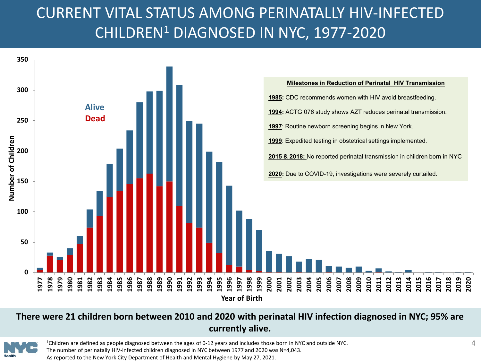### <span id="page-3-0"></span>CURRENT VITAL STATUS AMONG PERINATALLY HIV-INFECTED CHILDREN1 DIAGNOSED IN NYC, 1977-2020



#### **There were 21 children born between 2010 and 2020 with perinatal HIV infection diagnosed in NYC; 95% are currently alive.**



1Children are defined as people diagnosed between the ages of 0-12 years and includes those born in NYC and outside NYC.

The number of perinatally HIV-infected children diagnosed in NYC between 1977 and 2020 was N=4,043.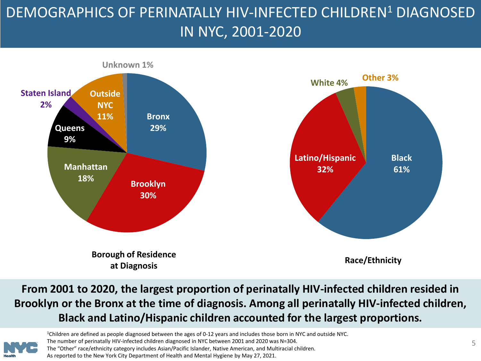### <span id="page-4-0"></span>DEMOGRAPHICS OF PERINATALLY HIV-INFECTED CHILDREN1 DIAGNOSED IN NYC, 2001-2020



#### **From 2001 to 2020, the largest proportion of perinatally HIV-infected children resided in Brooklyn or the Bronx at the time of diagnosis. Among all perinatally HIV-infected children, Black and Latino/Hispanic children accounted for the largest proportions.**



1Children are defined as people diagnosed between the ages of 0-12 years and includes those born in NYC and outside NYC. The number of perinatally HIV-infected children diagnosed in NYC between 2001 and 2020 was N=304. The "Other" race/ethnicity category includes Asian/Pacific Islander, Native American, and Multiracial children. As reported to the New York City Department of Health and Mental Hygiene by May 27, 2021.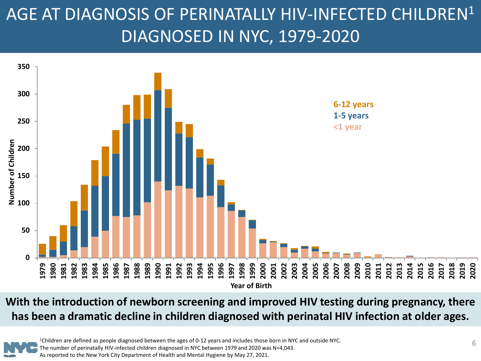## <span id="page-5-0"></span>AGE AT DIAGNOSIS OF PERINATALLY HIV-INFECTED CHILDREN<sup>1</sup> DIAGNOSED IN NYC, 1979-2020



#### **With the introduction of newborn screening and improved HIV testing during pregnancy, there has been a dramatic decline in children diagnosed with perinatal HIV infection at older ages.**

1Children are defined as people diagnosed between the ages of 0-12 years and includes those born in NYC and outside NYC.

The number of perinatally HIV-infected children diagnosed in NYC between 1979 and 2020 was N=4,043.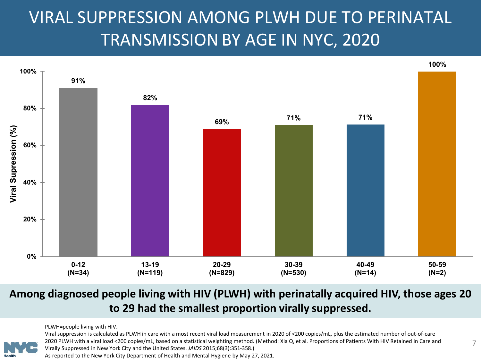## <span id="page-6-0"></span>VIRAL SUPPRESSION AMONG PLWH DUE TO PERINATAL TRANSMISSION BY AGE IN NYC, 2020



#### **Among diagnosed people living with HIV (PLWH) with perinatally acquired HIV, those ages 20 to 29 had the smallest proportion virally suppressed.**

PLWH=people living with HIV.



Viral suppression is calculated as PLWH in care with a most recent viral load measurement in 2020 of <200 copies/mL, plus the estimated number of out-of-care 2020 PLWH with a viral load <200 copies/mL, based on a statistical weighting method. (Method: Xia Q, et al. Proportions of Patients With HIV Retained in Care and Virally Suppressed in New York City and the United States. *JAIDS* 2015;68(3):351-358.)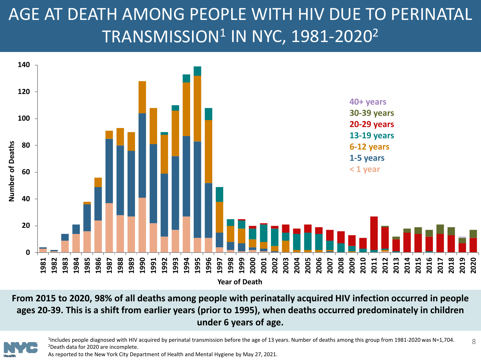## <span id="page-7-0"></span>AGE AT DEATH AMONG PEOPLE WITH HIV DUE TO PERINATAL TRANSMISSION<sup>1</sup> IN NYC, 1981-2020<sup>2</sup>



#### **From 2015 to 2020, 98% of all deaths among people with perinatally acquired HIV infection occurred in people ages 20-39. This is a shift from earlier years (prior to 1995), when deaths occurred predominately in children under 6 years of age.**

1Includes people diagnosed with HIV acquired by perinatal transmission before the age of 13 years. Number of deaths among this group from 1981-2020 was N=1,704. <sup>2</sup>Death data for 2020 are incomplete.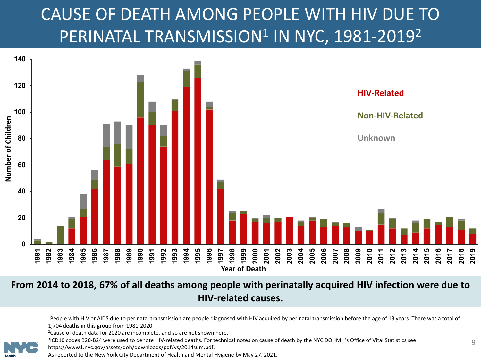### <span id="page-8-0"></span>CAUSE OF DEATH AMONG PEOPLE WITH HIV DUE TO PERINATAL TRANSMISSION<sup>1</sup> IN NYC, 1981-2019<sup>2</sup>



#### **From 2014 to 2018, 67% of all deaths among people with perinatally acquired HIV infection were due to HIV-related causes.**

1People with HIV or AIDS due to perinatal transmission are people diagnosed with HIV acquired by perinatal transmission before the age of 13 years. There was a total of 1,704 deaths in this group from 1981-2020.

<sup>2</sup>Cause of death data for 2020 are incomplete, and so are not shown here.

<sup>3</sup>ICD10 codes B20-B24 were used to denote HIV-related deaths. For technical notes on cause of death by the NYC DOHMH's Office of Vital Statistics see:

https://www1.nyc.gov/assets/doh/downloads/pdf/vs/2014sum.pdf.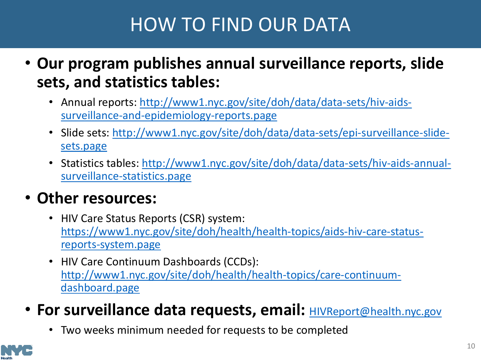## HOW TO FIND OUR DATA

- <span id="page-9-0"></span>• **Our program publishes annual surveillance reports, slide sets, and statistics tables:**
	- [Annual reports: http://www1.nyc.gov/site/doh/data/data-sets/hiv-aids](http://www1.nyc.gov/site/doh/data/data-sets/hiv-aids-surveillance-and-epidemiology-reports.page)surveillance-and-epidemiology-reports.page
	- [Slide sets: http://www1.nyc.gov/site/doh/data/data-sets/epi-surveillance-slide](http://www1.nyc.gov/site/doh/data/data-sets/epi-surveillance-slide-sets.page)sets.page
	- [Statistics tables: http://www1.nyc.gov/site/doh/data/data-sets/hiv-aids-annual](http://www1.nyc.gov/site/doh/data/data-sets/hiv-aids-annual-surveillance-statistics.page)surveillance-statistics.page

### • **Other resources:**

- HIV Care Status Reports (CSR) system: [https://www1.nyc.gov/site/doh/health/health-topics/aids-hiv-care-status](https://www1.nyc.gov/site/doh/health/health-topics/aids-hiv-care-status-reports-system.page)reports-system.page
- HIV Care Continuum Dashboards (CCDs): [http://www1.nyc.gov/site/doh/health/health-topics/care-continuum](http://www1.nyc.gov/site/doh/health/health-topics/care-continuum-dashboard.page)dashboard.page
- For surveillance data requests, email: **[HIVReport@health.nyc.gov](mailto:HIVReport@health.nyc.gov)** 
	- Two weeks minimum needed for requests to be completed

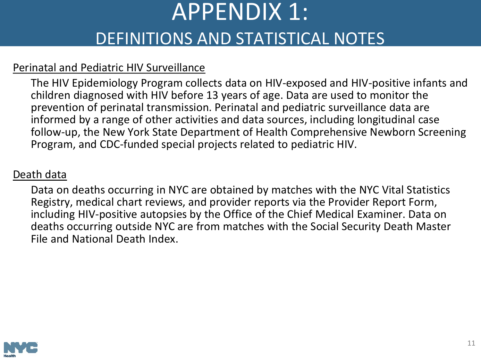# APPENDIX 1: DEFINITIONS AND STATISTICAL NOTES

#### <span id="page-10-0"></span>Perinatal and Pediatric HIV Surveillance

The HIV Epidemiology Program collects data on HIV-exposed and HIV-positive infants and children diagnosed with HIV before 13 years of age. Data are used to monitor the prevention of perinatal transmission. Perinatal and pediatric surveillance data are informed by a range of other activities and data sources, including longitudinal case follow-up, the New York State Department of Health Comprehensive Newborn Screening Program, and CDC-funded special projects related to pediatric HIV.

#### Death data

Data on deaths occurring in NYC are obtained by matches with the NYC Vital Statistics Registry, medical chart reviews, and provider reports via the Provider Report Form, including HIV-positive autopsies by the Office of the Chief Medical Examiner. Data on deaths occurring outside NYC are from matches with the Social Security Death Master File and National Death Index.